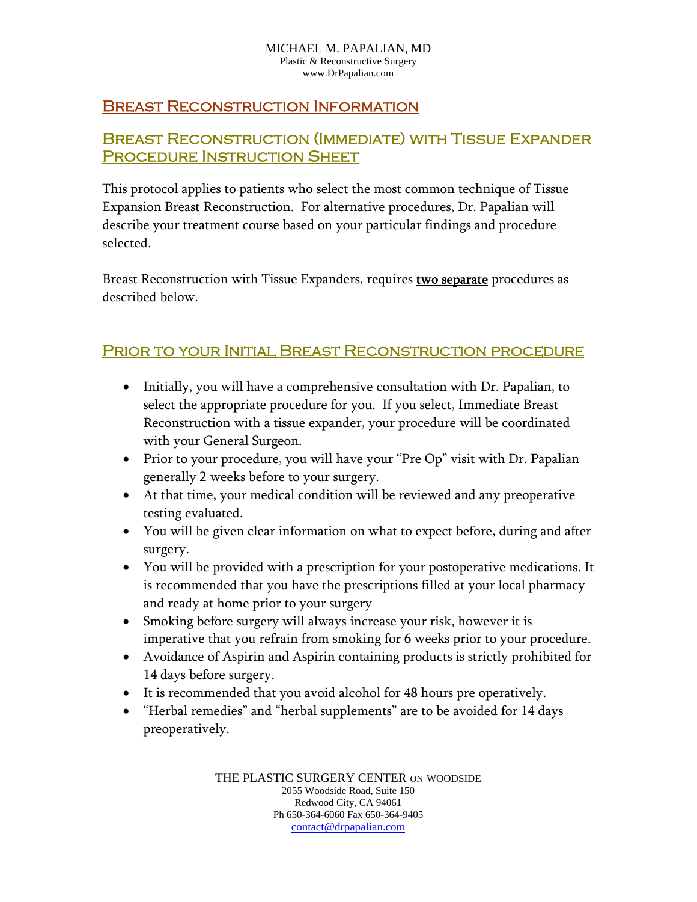#### MICHAEL M. PAPALIAN, MD Plastic & Reconstructive Surgery www.DrPapalian.com

### Breast Reconstruction Information

## Breast Reconstruction (Immediate) with Tissue Expander PROCEDURE INSTRUCTION SHEET

This protocol applies to patients who select the most common technique of Tissue Expansion Breast Reconstruction. For alternative procedures, Dr. Papalian will describe your treatment course based on your particular findings and procedure selected.

Breast Reconstruction with Tissue Expanders, requires **two separate** procedures as described below.

#### Prior to your Initial Breast Reconstruction procedure

- Initially, you will have a comprehensive consultation with Dr. Papalian, to select the appropriate procedure for you. If you select, Immediate Breast Reconstruction with a tissue expander, your procedure will be coordinated with your General Surgeon.
- Prior to your procedure, you will have your "Pre Op" visit with Dr. Papalian generally 2 weeks before to your surgery.
- At that time, your medical condition will be reviewed and any preoperative testing evaluated.
- You will be given clear information on what to expect before, during and after surgery.
- You will be provided with a prescription for your postoperative medications. It is recommended that you have the prescriptions filled at your local pharmacy and ready at home prior to your surgery
- Smoking before surgery will always increase your risk, however it is imperative that you refrain from smoking for 6 weeks prior to your procedure.
- Avoidance of Aspirin and Aspirin containing products is strictly prohibited for 14 days before surgery.
- It is recommended that you avoid alcohol for 48 hours pre operatively.
- "Herbal remedies" and "herbal supplements" are to be avoided for 14 days preoperatively.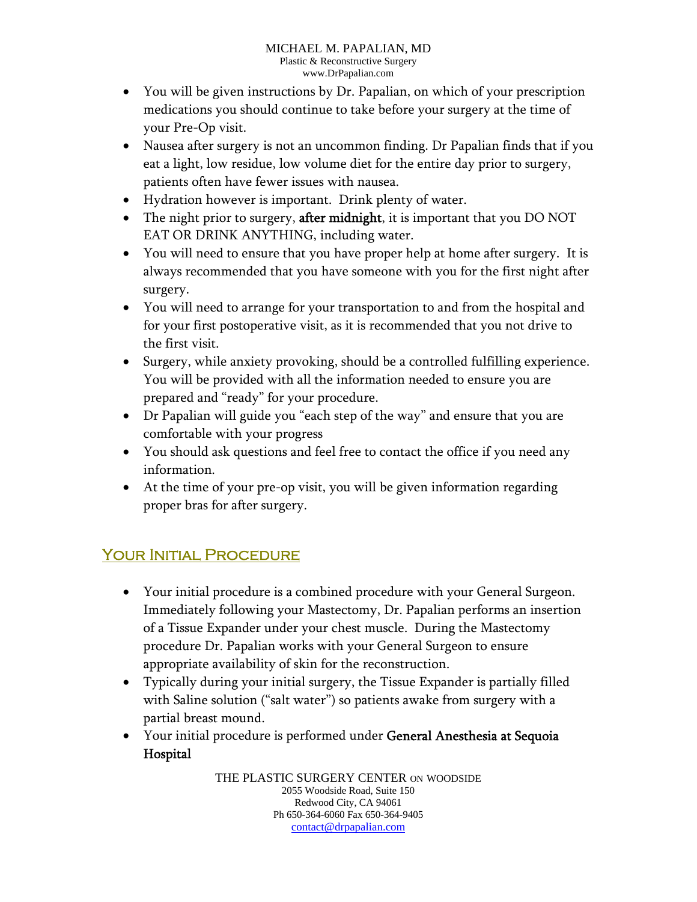- You will be given instructions by Dr. Papalian, on which of your prescription medications you should continue to take before your surgery at the time of your Pre-Op visit.
- Nausea after surgery is not an uncommon finding. Dr Papalian finds that if you eat a light, low residue, low volume diet for the entire day prior to surgery, patients often have fewer issues with nausea.
- Hydration however is important. Drink plenty of water.
- The night prior to surgery, **after midnight**, it is important that you DO NOT EAT OR DRINK ANYTHING, including water.
- You will need to ensure that you have proper help at home after surgery. It is always recommended that you have someone with you for the first night after surgery.
- You will need to arrange for your transportation to and from the hospital and for your first postoperative visit, as it is recommended that you not drive to the first visit.
- Surgery, while anxiety provoking, should be a controlled fulfilling experience. You will be provided with all the information needed to ensure you are prepared and "ready" for your procedure.
- Dr Papalian will guide you "each step of the way" and ensure that you are comfortable with your progress
- You should ask questions and feel free to contact the office if you need any information.
- At the time of your pre-op visit, you will be given information regarding proper bras for after surgery.

# YOUR INITIAL PROCEDURE

- Your initial procedure is a combined procedure with your General Surgeon. Immediately following your Mastectomy, Dr. Papalian performs an insertion of a Tissue Expander under your chest muscle. During the Mastectomy procedure Dr. Papalian works with your General Surgeon to ensure appropriate availability of skin for the reconstruction.
- Typically during your initial surgery, the Tissue Expander is partially filled with Saline solution ("salt water") so patients awake from surgery with a partial breast mound.
- Your initial procedure is performed under General Anesthesia at Sequoia Hospital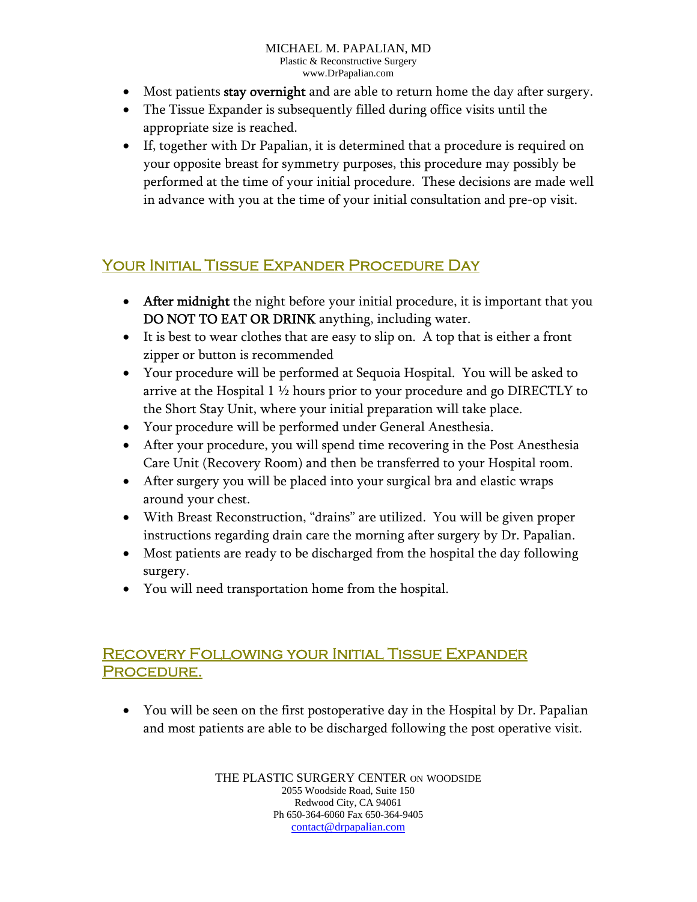#### MICHAEL M. PAPALIAN, MD Plastic & Reconstructive Surgery www.DrPapalian.com

- Most patients stay overnight and are able to return home the day after surgery.
- The Tissue Expander is subsequently filled during office visits until the appropriate size is reached.
- If, together with Dr Papalian, it is determined that a procedure is required on your opposite breast for symmetry purposes, this procedure may possibly be performed at the time of your initial procedure. These decisions are made well in advance with you at the time of your initial consultation and pre-op visit.

# Your Initial Tissue Expander Procedure Day

- After midnight the night before your initial procedure, it is important that you DO NOT TO EAT OR DRINK anything, including water.
- It is best to wear clothes that are easy to slip on. A top that is either a front zipper or button is recommended
- Your procedure will be performed at Sequoia Hospital. You will be asked to arrive at the Hospital 1 ½ hours prior to your procedure and go DIRECTLY to the Short Stay Unit, where your initial preparation will take place.
- Your procedure will be performed under General Anesthesia.
- After your procedure, you will spend time recovering in the Post Anesthesia Care Unit (Recovery Room) and then be transferred to your Hospital room.
- After surgery you will be placed into your surgical bra and elastic wraps around your chest.
- With Breast Reconstruction, "drains" are utilized. You will be given proper instructions regarding drain care the morning after surgery by Dr. Papalian.
- Most patients are ready to be discharged from the hospital the day following surgery.
- You will need transportation home from the hospital.

## Recovery Following your Initial Tissue Expander PROCEDURE.

 You will be seen on the first postoperative day in the Hospital by Dr. Papalian and most patients are able to be discharged following the post operative visit.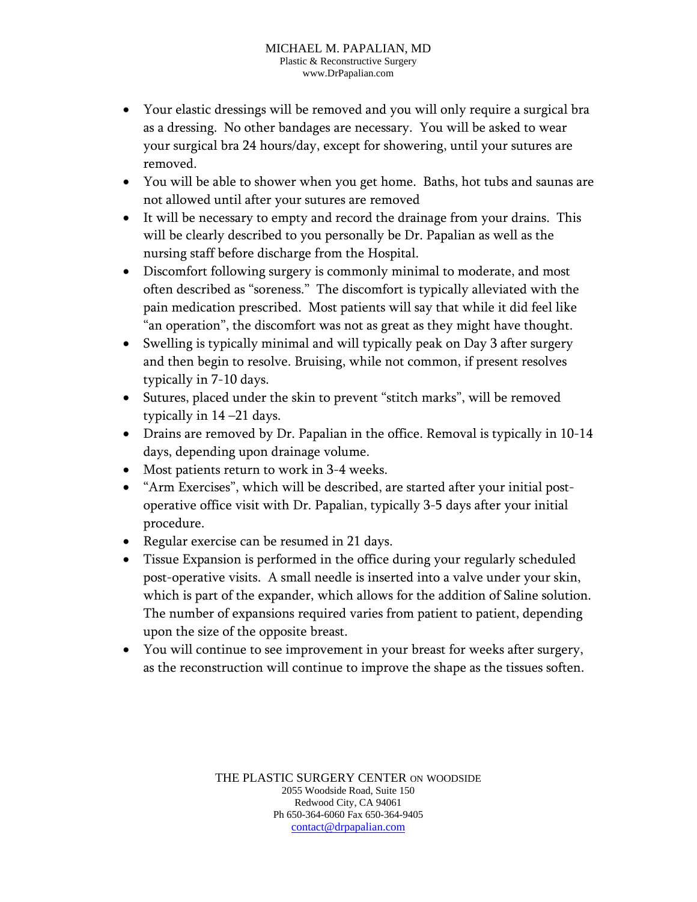- Your elastic dressings will be removed and you will only require a surgical bra as a dressing. No other bandages are necessary. You will be asked to wear your surgical bra 24 hours/day, except for showering, until your sutures are removed.
- You will be able to shower when you get home. Baths, hot tubs and saunas are not allowed until after your sutures are removed
- It will be necessary to empty and record the drainage from your drains. This will be clearly described to you personally be Dr. Papalian as well as the nursing staff before discharge from the Hospital.
- Discomfort following surgery is commonly minimal to moderate, and most often described as "soreness." The discomfort is typically alleviated with the pain medication prescribed. Most patients will say that while it did feel like "an operation", the discomfort was not as great as they might have thought.
- Swelling is typically minimal and will typically peak on Day 3 after surgery and then begin to resolve. Bruising, while not common, if present resolves typically in 7-10 days.
- Sutures, placed under the skin to prevent "stitch marks", will be removed typically in 14 –21 days.
- Drains are removed by Dr. Papalian in the office. Removal is typically in 10-14 days, depending upon drainage volume.
- Most patients return to work in 3-4 weeks.
- "Arm Exercises", which will be described, are started after your initial postoperative office visit with Dr. Papalian, typically 3-5 days after your initial procedure.
- Regular exercise can be resumed in 21 days.
- Tissue Expansion is performed in the office during your regularly scheduled post-operative visits. A small needle is inserted into a valve under your skin, which is part of the expander, which allows for the addition of Saline solution. The number of expansions required varies from patient to patient, depending upon the size of the opposite breast.
- You will continue to see improvement in your breast for weeks after surgery, as the reconstruction will continue to improve the shape as the tissues soften.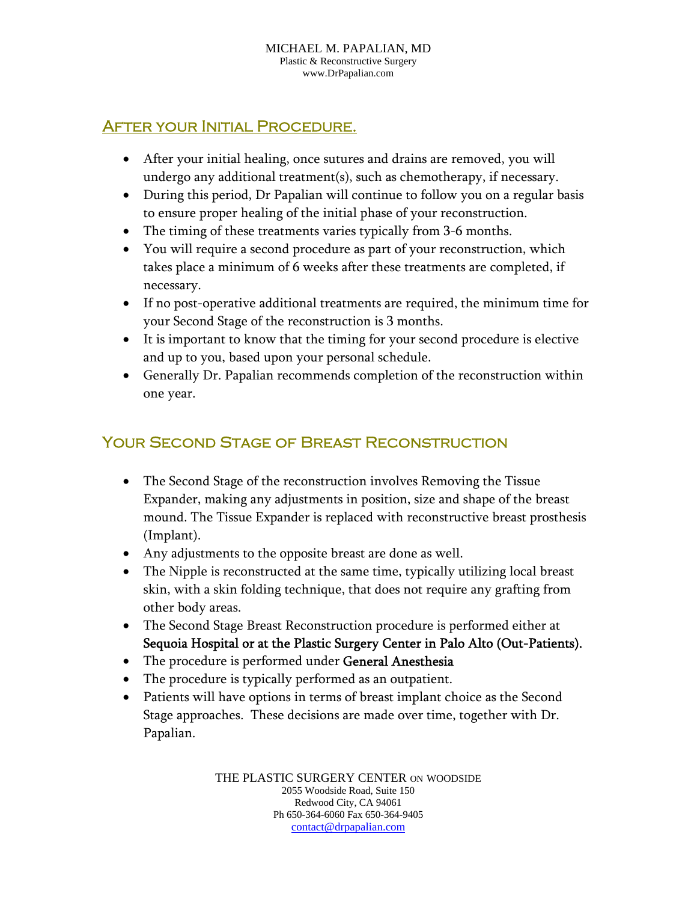## After your Initial Procedure.

- After your initial healing, once sutures and drains are removed, you will undergo any additional treatment(s), such as chemotherapy, if necessary.
- During this period, Dr Papalian will continue to follow you on a regular basis to ensure proper healing of the initial phase of your reconstruction.
- The timing of these treatments varies typically from 3-6 months.
- You will require a second procedure as part of your reconstruction, which takes place a minimum of 6 weeks after these treatments are completed, if necessary.
- If no post-operative additional treatments are required, the minimum time for your Second Stage of the reconstruction is 3 months.
- It is important to know that the timing for your second procedure is elective and up to you, based upon your personal schedule.
- Generally Dr. Papalian recommends completion of the reconstruction within one year.

# Your Second Stage of Breast Reconstruction

- The Second Stage of the reconstruction involves Removing the Tissue Expander, making any adjustments in position, size and shape of the breast mound. The Tissue Expander is replaced with reconstructive breast prosthesis (Implant).
- Any adjustments to the opposite breast are done as well.
- The Nipple is reconstructed at the same time, typically utilizing local breast skin, with a skin folding technique, that does not require any grafting from other body areas.
- The Second Stage Breast Reconstruction procedure is performed either at Sequoia Hospital or at the Plastic Surgery Center in Palo Alto (Out-Patients).
- The procedure is performed under General Anesthesia
- The procedure is typically performed as an outpatient.
- Patients will have options in terms of breast implant choice as the Second Stage approaches. These decisions are made over time, together with Dr. Papalian.